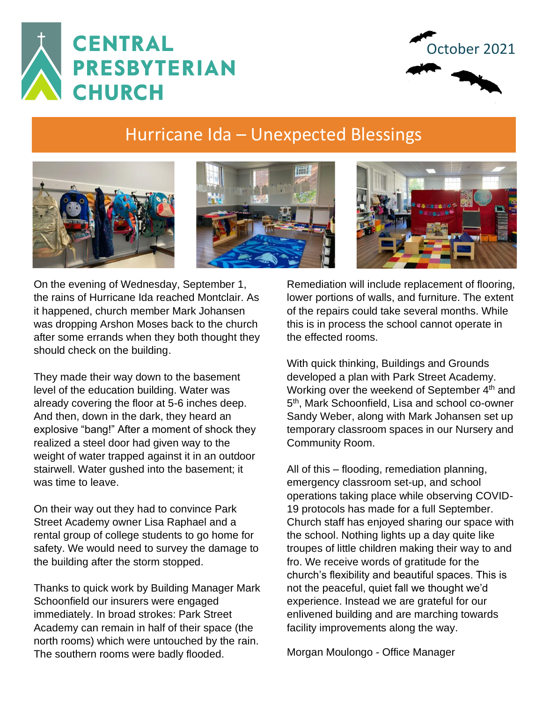



## Hurricane Ida – Unexpected Blessings







On the evening of Wednesday, September 1, the rains of Hurricane Ida reached Montclair. As it happened, church member Mark Johansen was dropping Arshon Moses back to the church after some errands when they both thought they should check on the building.

They made their way down to the basement level of the education building. Water was already covering the floor at 5-6 inches deep. And then, down in the dark, they heard an explosive "bang!" After a moment of shock they realized a steel door had given way to the weight of water trapped against it in an outdoor stairwell. Water gushed into the basement; it was time to leave.

On their way out they had to convince Park Street Academy owner Lisa Raphael and a rental group of college students to go home for safety. We would need to survey the damage to the building after the storm stopped.

Thanks to quick work by Building Manager Mark Schoonfield our insurers were engaged immediately. In broad strokes: Park Street Academy can remain in half of their space (the north rooms) which were untouched by the rain. The southern rooms were badly flooded.

Remediation will include replacement of flooring, lower portions of walls, and furniture. The extent of the repairs could take several months. While this is in process the school cannot operate in the effected rooms.

With quick thinking, Buildings and Grounds developed a plan with Park Street Academy. Working over the weekend of September 4<sup>th</sup> and 5<sup>th</sup>, Mark Schoonfield, Lisa and school co-owner Sandy Weber, along with Mark Johansen set up temporary classroom spaces in our Nursery and Community Room.

All of this – flooding, remediation planning, emergency classroom set-up, and school operations taking place while observing COVID-19 protocols has made for a full September. Church staff has enjoyed sharing our space with the school. Nothing lights up a day quite like troupes of little children making their way to and fro. We receive words of gratitude for the church's flexibility and beautiful spaces. This is not the peaceful, quiet fall we thought we'd experience. Instead we are grateful for our enlivened building and are marching towards facility improvements along the way.

Morgan Moulongo - Office Manager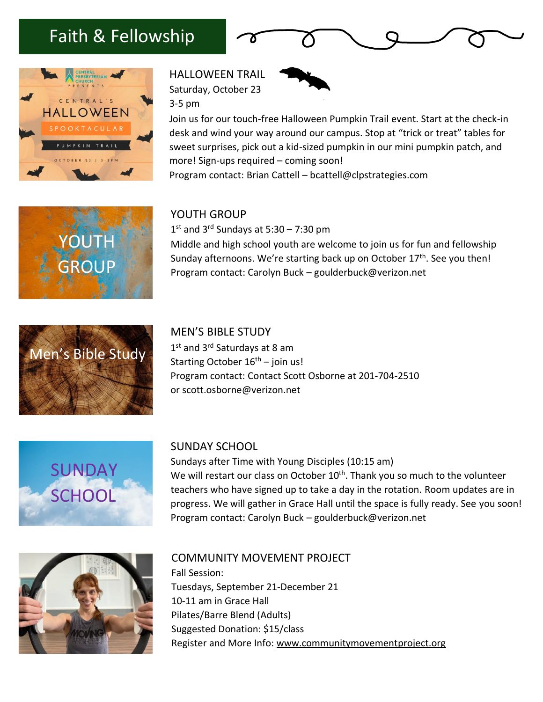## Faith & Fellowship







Join us for our touch-free Halloween Pumpkin Trail event. Start at the check-in desk and wind your way around our campus. Stop at "trick or treat" tables for sweet surprises, pick out a kid-sized pumpkin in our mini pumpkin patch, and more! Sign-ups required – coming soon! Program contact: Brian Cattell – bcattell@clpstrategies.com

#### YOUTH GROUP

1 st and 3rd Sundays at 5:30 – 7:30 pm Middle and high school youth are welcome to join us for fun and fellowship Sunday afternoons. We're starting back up on October 17<sup>th</sup>. See you then! Program contact: Carolyn Buck – goulderbuck@verizon.net



YOUTH

**GROUP** 

MEN'S BIBLE STUDY 1st and 3<sup>rd</sup> Saturdays at 8 am Starting October  $16<sup>th</sup>$  – join us! Program contact: Contact Scott Osborne at 201-704-2510 or [scott.osborne@verizon.net](mailto:scott.osborne@verizon.net)



SUNDAY SCHOOL

Sundays after Time with Young Disciples (10:15 am) We will restart our class on October 10<sup>th</sup>. Thank you so much to the volunteer teachers who have signed up to take a day in the rotation. Room updates are in progress. We will gather in Grace Hall until the space is fully ready. See you soon! Program contact: Carolyn Buck – goulderbuck@verizon.net



COMMUNITY MOVEMENT PROJECT Fall Session: Tuesdays, September 21-December 21 10-11 am in Grace Hall Pilates/Barre Blend (Adults) Suggested Donation: \$15/class Register and More Info: [www.communitymovementproject.org](http://www.communitymovementproject.org/)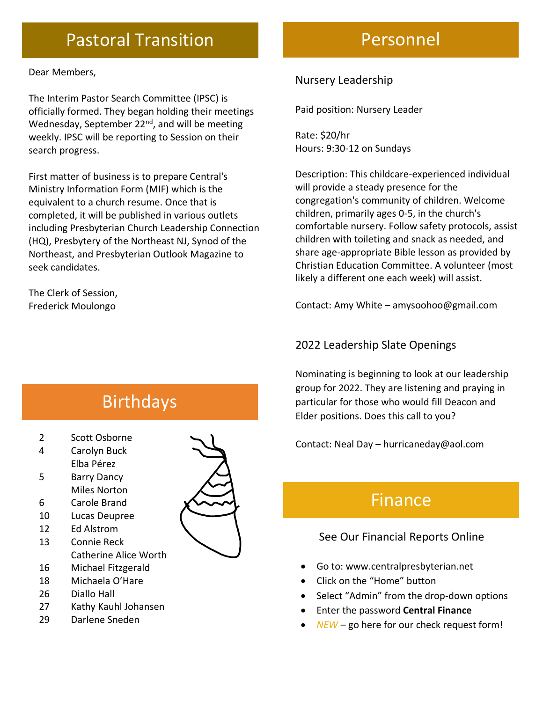## Pastoral Transition

Dear Members,

The Interim Pastor Search Committee (IPSC) is officially formed. They began holding their meetings Wednesday, September  $22<sup>nd</sup>$ , and will be meeting weekly. IPSC will be reporting to Session on their search progress.

First matter of business is to prepare Central's Ministry Information Form (MIF) which is the equivalent to a church resume. Once that is completed, it will be published in various outlets including Presbyterian Church Leadership Connection (HQ), Presbytery of the Northeast NJ, Synod of the Northeast, and Presbyterian Outlook Magazine to seek candidates.

The Clerk of Session, Frederick Moulongo

# Birthdays

- 2 Scott Osborne
- 4 Carolyn Buck
- Elba Pérez
- 5 Barry Dancy Miles Norton
- 6 Carole Brand
- 10 Lucas Deupree
- 12 Ed Alstrom
- 13 Connie Reck Catherine Alice Worth
- 16 Michael Fitzgerald
- 18 Michaela O'Hare
- 26 Diallo Hall
- 27 Kathy Kauhl Johansen
- 29 Darlene Sneden



## Personnel

#### Nursery Leadership

Paid position: Nursery Leader

Rate: \$20/hr Hours: 9:30-12 on Sundays

Description: This childcare-experienced individual will provide a steady presence for the congregation's community of children. Welcome children, primarily ages 0-5, in the church's comfortable nursery. Follow safety protocols, assist children with toileting and snack as needed, and share age-appropriate Bible lesson as provided by Christian Education Committee. A volunteer (most likely a different one each week) will assist.

Contact: Amy White – amysoohoo@gmail.com

#### 2022 Leadership Slate Openings

Nominating is beginning to look at our leadership group for 2022. They are listening and praying in particular for those who would fill Deacon and Elder positions. Does this call to you?

Contact: Neal Day – hurricaneday@aol.com

## Finance

### See Our Financial Reports Online

- Go to: [www.centralpresbyterian.net](http://www.centralpresbyterian.net/)
- Click on the "Home" button
- Select "Admin" from the drop-down options
- Enter the password **Central Finance**
- *NEW* go here for our check request form!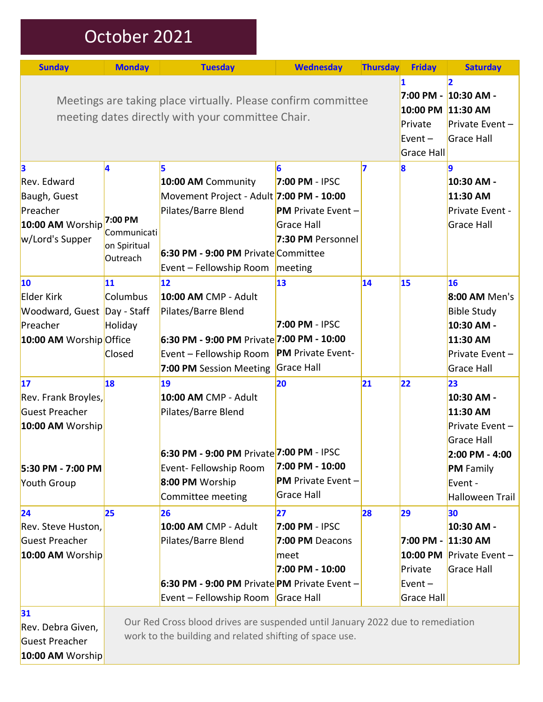| October 2021 |  |
|--------------|--|
|              |  |

| <b>Sunday</b>                                                                                                      | <b>Monday</b>                                           | <b>Tuesday</b>                                                                                                                                                  | <b>Wednesday</b>                                                                                      | <b>Thursday</b> | <b>Friday</b>                                                  | <b>Saturday</b>                                                                                                                     |
|--------------------------------------------------------------------------------------------------------------------|---------------------------------------------------------|-----------------------------------------------------------------------------------------------------------------------------------------------------------------|-------------------------------------------------------------------------------------------------------|-----------------|----------------------------------------------------------------|-------------------------------------------------------------------------------------------------------------------------------------|
| Meetings are taking place virtually. Please confirm committee<br>meeting dates directly with your committee Chair. |                                                         |                                                                                                                                                                 |                                                                                                       |                 |                                                                | 12<br>7:00 PM - 10:30 AM -<br>10:00 PM 11:30 AM<br>Private Event $-$<br>Grace Hall<br>Grace Hall                                    |
| 3<br>Rev. Edward<br>Baugh, Guest<br>Preacher<br>10:00 AM Worship<br>w/Lord's Supper                                | 4<br>7:00 PM<br>Communicati<br>on Spiritual<br>Outreach | 5<br>10:00 AM Community<br>Movement Project - Adult 7:00 PM - 10:00<br>Pilates/Barre Blend<br>6:30 PM - 9:00 PM Private Committee<br>Event - Fellowship Room    | 6<br>7:00 PM - IPSC<br><b>PM</b> Private Event -<br><b>Grace Hall</b><br>7:30 PM Personnel<br>meeting | 7               | 8                                                              | 19<br>10:30 AM -<br>11:30 AM<br>Private Event -<br>Grace Hall                                                                       |
| 10<br>Elder Kirk<br>Woodward, Guest Day - Staff<br>Preacher<br>10:00 AM Worship Office                             | 11<br>Columbus<br>Holiday<br>Closed                     | 12<br>10:00 AM CMP - Adult<br>Pilates/Barre Blend<br>6:30 PM - 9:00 PM Private 7:00 PM - 10:00<br>Event - Fellowship Room<br>7:00 PM Session Meeting            | 13<br>7:00 PM - IPSC<br><b>PM</b> Private Event-<br>Grace Hall                                        | 14              | 15                                                             | 16<br>8:00 AM Men's<br><b>Bible Study</b><br>10:30 AM -<br>11:30 AM<br>Private Event $-$<br>Grace Hall                              |
| 17<br>Rev. Frank Broyles,<br>Guest Preacher<br>10:00 AM Worship<br>5:30 PM - 7:00 PM<br>Youth Group                | 18                                                      | 19<br>10:00 AM CMP - Adult<br>Pilates/Barre Blend<br>6:30 PM - 9:00 PM Private 7:00 PM - IPSC<br>Event- Fellowship Room<br>8:00 PM Worship<br>Committee meeting | 20<br>7:00 PM - 10:00<br><b>PM</b> Private Event $-$<br>Grace Hall                                    | 21              | 22                                                             | 23<br>10:30 AM -<br>11:30 AM<br>Private Event $-$<br>Grace Hall<br>2:00 PM - 4:00<br><b>PM</b> Family<br>Event -<br>Halloween Trail |
| 24<br>Rev. Steve Huston,<br>Guest Preacher<br>10:00 AM Worship                                                     | 25                                                      | 26<br>10:00 AM CMP - Adult<br>Pilates/Barre Blend<br>6:30 PM - 9:00 PM Private PM Private Event -<br>Event - Fellowship Room Grace Hall                         | 27<br>7:00 PM - IPSC<br>7:00 PM Deacons<br>meet<br>7:00 PM - 10:00                                    | 28              | 29<br>7:00 PM - 11:30 AM<br>Private<br>Event $-$<br>Grace Hall | 30<br>10:30 AM -<br>10:00 PM Private Event -<br>Grace Hall                                                                          |
| 31<br>Rev. Debra Given,<br>Guest Preacher<br>10:00 AM Worship                                                      |                                                         | Our Red Cross blood drives are suspended until January 2022 due to remediation<br>work to the building and related shifting of space use.                       |                                                                                                       |                 |                                                                |                                                                                                                                     |